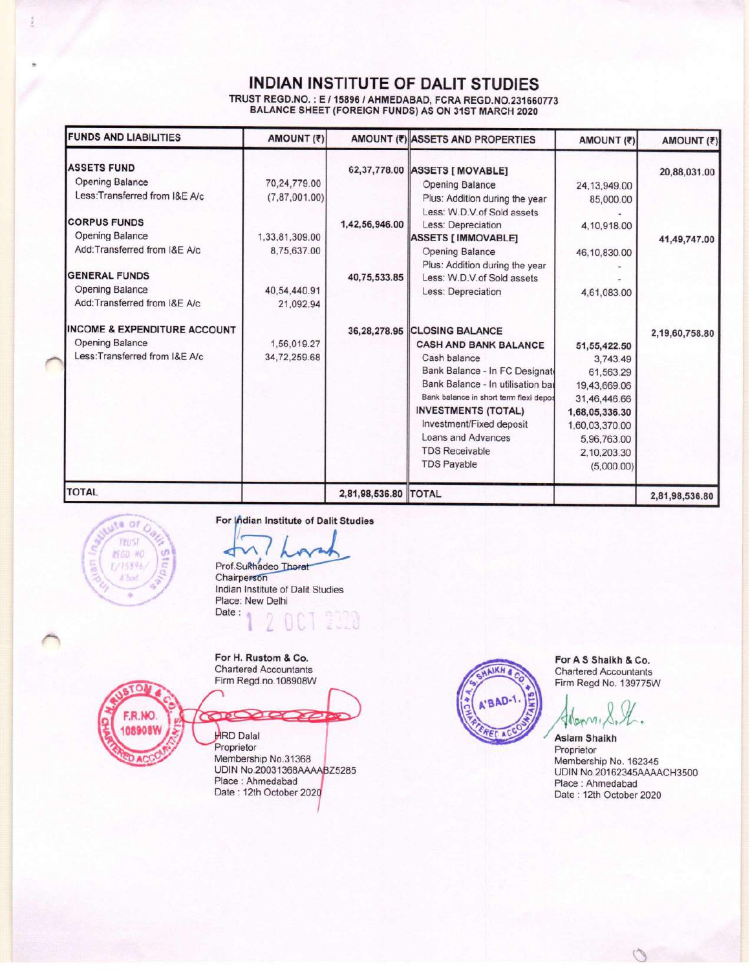## **INDIAN INSTITUTE OF DALIT STUDIES**

TRUST REGD.NO. : E / 15896 / AHMEDABAD, FCRA REGD.NO.231660773<br>BALANCE SHEET (FOREIGN FUNDS) AS ON 31ST MARCH 2020

| <b>FUNDS AND LIABILITIES</b>    | AMOUNT (₹)       |                      | AMOUNT (₹) ASSETS AND PROPERTIES                             | AMOUNT (₹)     | AMOUNT (₹)     |  |
|---------------------------------|------------------|----------------------|--------------------------------------------------------------|----------------|----------------|--|
| <b>ASSETS FUND</b>              |                  |                      | 62,37,778.00 ASSETS [ MOVABLE]                               |                | 20,88,031.00   |  |
| Opening Balance                 | 70,24,779.00     |                      | <b>Opening Balance</b>                                       | 24, 13, 949.00 |                |  |
| Less: Transferred from I&E A/c  | (7, 87, 001, 00) |                      | Plus: Addition during the year<br>Less: W.D.V.of Sold assets | 85,000.00      |                |  |
| <b>CORPUS FUNDS</b>             |                  | 1,42,56,946.00       | Less: Depreciation                                           | 4,10,918.00    |                |  |
| <b>Opening Balance</b>          | 1,33,81,309.00   |                      | <b>ASSETS [ IMMOVABLE]</b>                                   |                | 41,49,747.00   |  |
| Add:Transferred from I&E A/c    | 8,75,637.00      |                      | Opening Balance                                              | 46,10,830.00   |                |  |
| <b>GENERAL FUNDS</b>            |                  | 40,75,533.85         | Plus: Addition during the year<br>Less: W.D.V.of Sold assets |                |                |  |
| <b>Opening Balance</b>          | 40,54,440.91     |                      |                                                              |                |                |  |
| Add:Transferred from I&E A/c    | 21,092.94        |                      | Less: Depreciation                                           | 4,61,083.00    |                |  |
| INCOME & EXPENDITURE ACCOUNT    |                  | 36,28,278.95         | <b>CLOSING BALANCE</b>                                       |                | 2,19,60,758.80 |  |
| <b>Opening Balance</b>          | 1,56,019.27      |                      | <b>CASH AND BANK BALANCE</b>                                 | 51,55,422.50   |                |  |
| Less: Transferred from I&E A/c. | 34,72,259.68     |                      | Cash balance                                                 | 3,743.49       |                |  |
|                                 |                  |                      | Bank Balance - In FC Designate                               | 61,563.29      |                |  |
|                                 |                  |                      | Bank Balance - In utilisation bal                            | 19,43,669.06   |                |  |
|                                 |                  |                      | Bank balance in short term flexi depos                       | 31,46,446.66   |                |  |
|                                 |                  |                      | <b>INVESTMENTS (TOTAL)</b>                                   | 1,68,05,336.30 |                |  |
|                                 |                  |                      | Investment/Fixed deposit                                     | 1,60,03,370.00 |                |  |
|                                 |                  |                      | Loans and Advances                                           | 5,96,763.00    |                |  |
|                                 |                  |                      | <b>TDS Receivable</b>                                        | 2,10,203.30    |                |  |
|                                 |                  |                      | <b>TDS Payable</b>                                           | (5,000.00)     |                |  |
| <b>TOTAL</b>                    |                  | 2,81,98,536.80 TOTAL |                                                              |                | 2,81,98,536.80 |  |

ute of **TRUST MEGD NO** 1/15896 A'Tund

 $\Omega$ 

F.R.NO.

108908W

For Indian Institute of Dalit Studies

๔

Prof.Sukhadeo Thorat Chairperson Indian Institute of Dalit Studies Place: New Delhi Date:

For H. Rustom & Co. **Chartered Accountants** Firm Regd.no.108908W

 $70($  $\sum$ তে **HRD** Dalal Proprietor Membership No.31368 UDIN No.20031368AAAABZ5285 Place: Ahmedabad Date: 12th October 2020



For A S Shaikh & Co. **Chartered Accountants** Firm Regd No. 139775W

Many

**Aslam Shaikh** Proprietor Membership No. 162345 UDIN No.20162345AAAACH3500 Place: Ahmedabad Date: 12th October 2020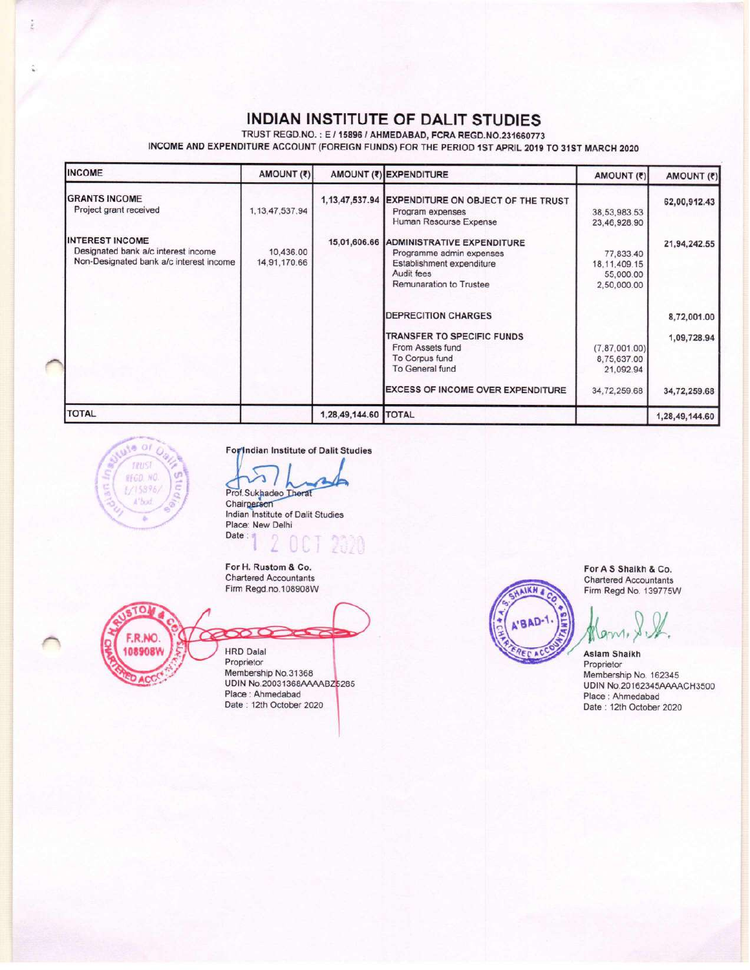## INDIAN INSTITUTE OF DALIT STUDIES

TRUST REGD.NO.: E / 15896 / AHMEDABAD, FCRA REGD.NO.231660773

INCOME AND EXPENDITURE ACCOUNT (FOREIGN FUNDS) FOR THE PERIOD 1ST APRIL 2019 TO 31ST MARCH 2020

| <b>INCOME</b>                                                                                            | AMOUNT (₹)                |                      | AMOUNT (₹) EXPENDITURE                                                                                                                    | AMOUNT (₹)                                               | AMOUNT (₹)     |
|----------------------------------------------------------------------------------------------------------|---------------------------|----------------------|-------------------------------------------------------------------------------------------------------------------------------------------|----------------------------------------------------------|----------------|
| <b>GRANTS INCOME</b><br>Project grant received                                                           | 1, 13, 47, 537.94         | 1, 13, 47, 537.94    | <b>EXPENDITURE ON OBJECT OF THE TRUST</b><br>Program expenses<br>Human Resourse Expense                                                   | 38,53,983.53<br>23,46,928.90                             | 62,00,912.43   |
| <b>INTEREST INCOME</b><br>Designated bank a/c interest income<br>Non-Designated bank a/c interest income | 10,436.00<br>14,91,170.66 |                      | 15,01,606.66 ADMINISTRATIVE EXPENDITURE<br>Programme admin expenses<br>Establishment expenditure<br>Audit fees<br>Remunaration to Trustee | 77,833.40<br>18, 11, 409. 15<br>55,000.00<br>2,50,000.00 | 21,94,242.55   |
|                                                                                                          |                           |                      | <b>DEPRECITION CHARGES</b>                                                                                                                |                                                          | 8,72,001.00    |
|                                                                                                          |                           |                      | TRANSFER TO SPECIFIC FUNDS<br>From Assets fund<br>To Corpus fund<br>To General fund                                                       | (7, 87, 001, 00)<br>8,75,637.00<br>21,092.94             | 1,09,728.94    |
|                                                                                                          |                           |                      | <b>EXCESS OF INCOME OVER EXPENDITURE</b>                                                                                                  | 34,72,259.68                                             | 34,72,259.68   |
| <b>TOTAL</b>                                                                                             |                           | 1,28,49,144.60 TOTAL |                                                                                                                                           |                                                          | 1,28,49,144.60 |



ž

For Indian Institute of Dalit Studies

Prof.Sukhadeo Therat Indian Institute of Dalit Studies Place: New Delhi Date:

For H. Rustom & Co. **Chartered Accountants** Firm Regd.no.108908W

CO. F.R.NO 108908W

# **HRD Dalal** Proprietor

Membership No.31368 UDIN No.20031368AAAABZ5285 Place : Ahmedabad<br>Date : 12th October 2020

**NKH** BAD For A S Shaikh & Co. **Chartered Accountants** Firm Regd No. 139775W

Aslam Shaikh Proprietor Membership No. 162345<br>UDIN No.20162345AAAACH3500 Place: Ahmedabad Date: 12th October 2020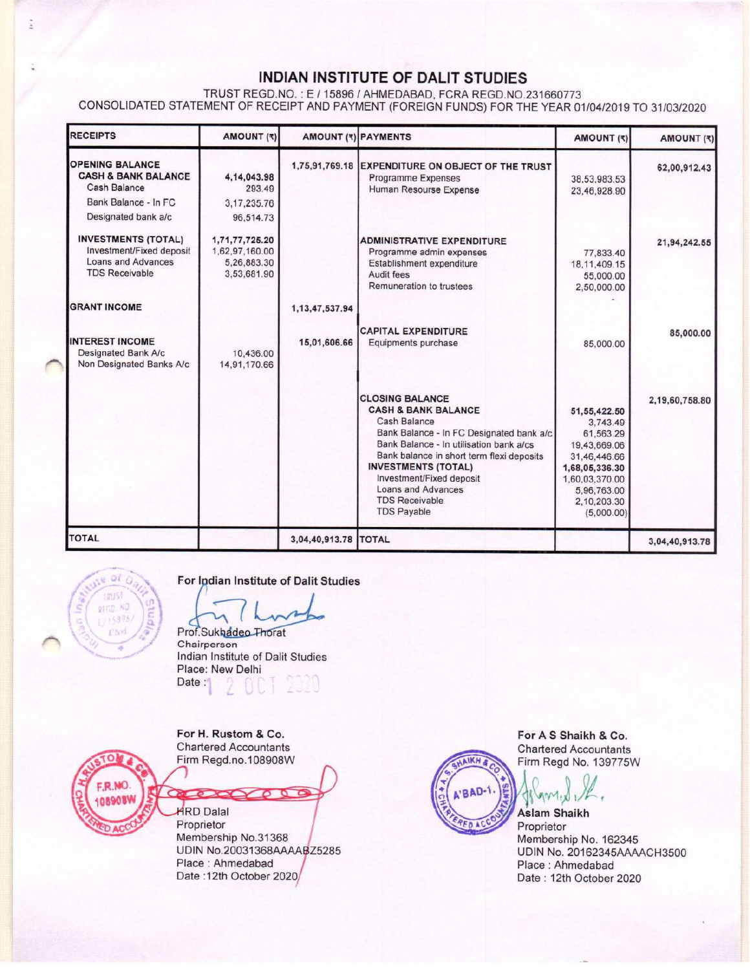### INDIAN INSTITUTE OF DALIT STUDIES

TRUST REGD.NO.: E / 15896 / AHMEDABAD, FCRA REGD.NO.231660773 CONSOLIDATED STATEMENT OF RECEIPT AND PAYMENT (FOREIGN FUNDS) FOR THE YEAR 01/04/2019 TO 31/03/2020

| <b>RECEIPTS</b>                                                                                              | <b>AMOUNT (₹)</b>                                              |                      | AMOUNT (₹) PAYMENTS                                                                                                                                                                                                                                                                                                                         | AMOUNT (₹)                                                                                                                                            | AMOUNT (₹)     |
|--------------------------------------------------------------------------------------------------------------|----------------------------------------------------------------|----------------------|---------------------------------------------------------------------------------------------------------------------------------------------------------------------------------------------------------------------------------------------------------------------------------------------------------------------------------------------|-------------------------------------------------------------------------------------------------------------------------------------------------------|----------------|
| <b>OPENING BALANCE</b><br><b>CASH &amp; BANK BALANCE</b><br><b>Cash Balance</b><br>Bank Balance - In FC      | 4.14.043.98<br>293.49<br>3, 17, 235.76                         | 1,75,91,769.18       | EXPENDITURE ON OBJECT OF THE TRUST<br>Programme Expenses<br>Human Resourse Expense                                                                                                                                                                                                                                                          | 38,53,983.53<br>23,46,928.90                                                                                                                          | 62,00,912.43   |
| Designated bank a/c                                                                                          | 96,514.73                                                      |                      |                                                                                                                                                                                                                                                                                                                                             |                                                                                                                                                       |                |
| <b>INVESTMENTS (TOTAL)</b><br>Investment/Fixed deposit<br><b>Loans and Advances</b><br><b>TDS Receivable</b> | 1,71,77,725.20<br>1,62,97,160.00<br>5,26,883.30<br>3,53,681.90 |                      | <b>ADMINISTRATIVE EXPENDITURE</b><br>Programme admin expenses<br>Establishment expenditure<br>Audit fees<br>Remuneration to trustees                                                                                                                                                                                                        | 77,833.40<br>18, 11, 409. 15<br>55,000.00<br>2,50,000.00                                                                                              | 21,94,242.55   |
| <b>GRANT INCOME</b>                                                                                          |                                                                | 1, 13, 47, 537.94    |                                                                                                                                                                                                                                                                                                                                             |                                                                                                                                                       |                |
| <b>INTEREST INCOME</b><br>Designated Bank A/c<br>Non Designated Banks A/c                                    | 10,436.00<br>14,91,170.66                                      | 15,01,606.66         | <b>CAPITAL EXPENDITURE</b><br>Equipments purchase                                                                                                                                                                                                                                                                                           | 85,000.00                                                                                                                                             | 85,000.00      |
|                                                                                                              |                                                                |                      | <b>CLOSING BALANCE</b><br><b>CASH &amp; BANK BALANCE</b><br>Cash Balance<br>Bank Balance - In FC Designated bank a/c<br>Bank Balance - In utilisation bank a/cs<br>Bank balance in short term flexi deposits<br><b>INVESTMENTS (TOTAL)</b><br>Investment/Fixed deposit<br>Loans and Advances<br><b>TDS Receivable</b><br><b>TDS Payable</b> | 51,55,422.50<br>3,743.49<br>61,563.29<br>19,43,669.06<br>31,46,446.66<br>1,68,05,336.30<br>1,60,03,370.00<br>5,96,763.00<br>2,10,203.30<br>(5,000.00) | 2,19,60,758.80 |
| <b>TOTAL</b>                                                                                                 |                                                                | 3,04,40,913.78 TOTAL |                                                                                                                                                                                                                                                                                                                                             |                                                                                                                                                       | 3,04,40,913.78 |



š.

For Indian Institute of Dalit Studies

Prof.Sukhadeo Thorat

Chairperson Indian Institute of Dalit Studies Place: New Delhi Date:



For H. Rustom & Co. **Chartered Accountants** Firm Regd.no.108908W

**HRD Dalal** Proprietor Membership No.31368 UDIN No.20031368AAAABZ5285 Place: Ahmedabad Date: 12th October 2020/

᠊ᢐ ᅙ

 $\sim$ 

For A S Shaikh & Co. **Chartered Accountants** Firm Regd No. 139775W

VIVY

**AIKH A** 

BA

**Aslam Shaikh** Proprietor Membership No. 162345 UDIN No. 20162345AAAACH3500 Place: Ahmedabad Date: 12th October 2020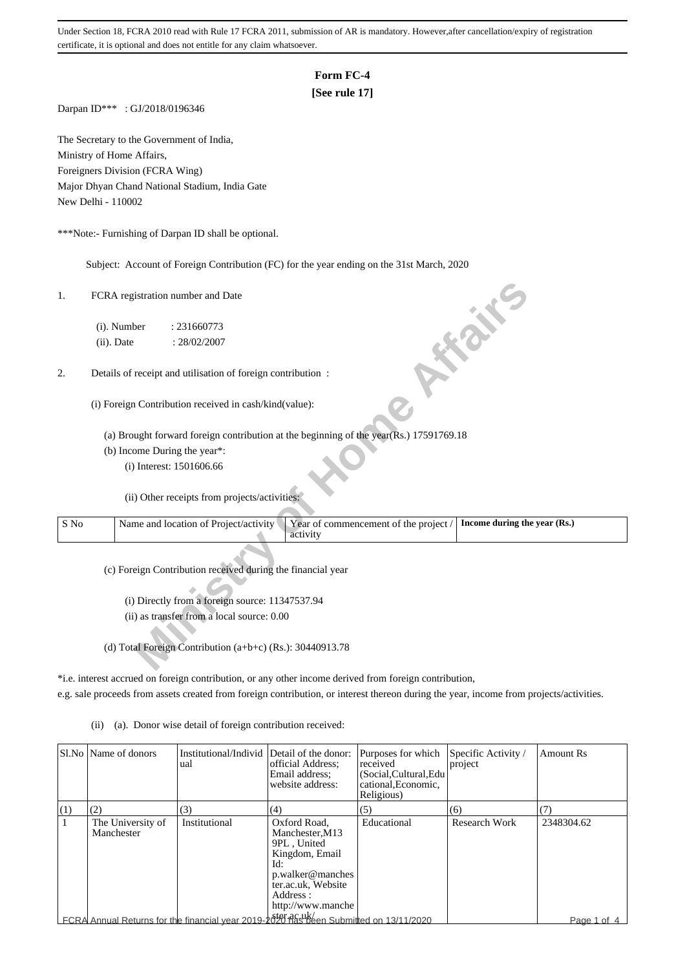#### **Form FC-4**

#### **[See rule 17]**

Darpan ID\*\*\* : GJ/2018/0196346

The Secretary to the Government of India, Ministry of Home Affairs, Foreigners Division (FCRA Wing) Major Dhyan Chand National Stadium, India Gate New Delhi - 110002

\*\*\*Note:- Furnishing of Darpan ID shall be optional.

Subject: Account of Foreign Contribution (FC) for the year ending on the 31st March, 2020

#### 2. Details of receipt and utilisation of foreign contribution :

| 1.             | FCRA registration number and Date<br>call                                                                                  |
|----------------|----------------------------------------------------------------------------------------------------------------------------|
|                | (i). Number<br>: 231660773                                                                                                 |
|                | (ii). Date<br>: 28/02/2007                                                                                                 |
| 2.             | Details of receipt and utilisation of foreign contribution :                                                               |
|                | (i) Foreign Contribution received in cash/kind(value):                                                                     |
|                | (a) Brought forward foreign contribution at the beginning of the year(Rs.) 17591769.18                                     |
|                | (b) Income During the year*:                                                                                               |
|                | (i) Interest: 1501606.66                                                                                                   |
|                | (ii) Other receipts from projects/activities:                                                                              |
| $\mathbf S$ No | Year of commencement of the project /<br>Name and location of Project/activity<br>Income during the year (Rs.)<br>activity |
|                | (c) Foreign Contribution received during the financial year                                                                |
|                | (i) Directly from a foreign source: 11347537.94                                                                            |
|                | (ii) as transfer from a local source: 0.00                                                                                 |
|                |                                                                                                                            |
|                | (d) Total Foreign Contribution (a+b+c) (Rs.): 30440913.78                                                                  |

\*i.e. interest accrued on foreign contribution, or any other income derived from foreign contribution,

e.g. sale proceeds from assets created from foreign contribution, or interest thereon during the year, income from projects/activities.

(ii) (a). Donor wise detail of foreign contribution received:

|     | SI.No   Name of donors          | Institutional/Individ  <br>ual                                                        | Detail of the donor:<br>official Address:<br>Email address:<br>website address:                                                                     | Purposes for which<br>received<br>(Social.Cultural.Edu<br>cational, Economic,<br>Religious) | Specific Activity /<br>project | <b>Amount Rs</b> |
|-----|---------------------------------|---------------------------------------------------------------------------------------|-----------------------------------------------------------------------------------------------------------------------------------------------------|---------------------------------------------------------------------------------------------|--------------------------------|------------------|
| (1) | (2)                             | (3)                                                                                   | (4)                                                                                                                                                 | (5)                                                                                         | (6)                            | (7)              |
|     | The University of<br>Manchester | Institutional                                                                         | Oxford Road.<br>Manchester, M13<br>9PL, United<br>Kingdom, Email<br>Id:<br>p.walker@manches<br>ter.ac.uk, Website<br>Address :<br>http://www.manche | Educational                                                                                 | Research Work                  | 2348304.62       |
|     |                                 | FCRA Annual Returns for the financial year 2019-2020 nas been Submitted on 13/11/2020 |                                                                                                                                                     |                                                                                             |                                | Page 1 of 4      |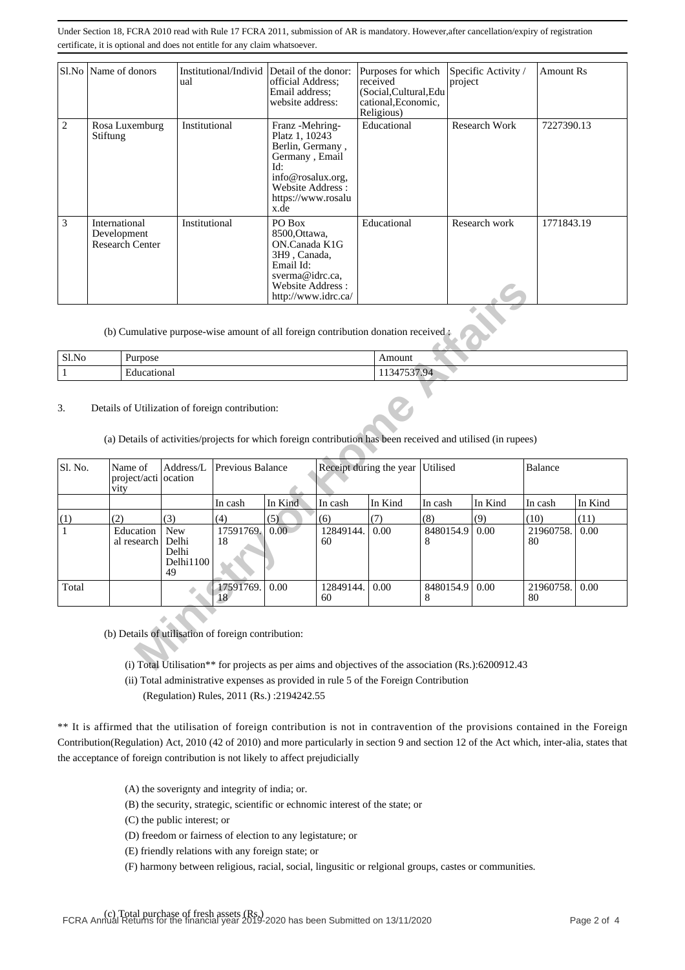|   | Sl.No   Name of donors                                 | Institutional/Individ Detail of the donor:<br>ual | official Address:<br>Email address:<br>website address:                                                                                                | Purposes for which<br>received<br>(Social, Cultural, Edu<br>cational, Economic,<br>Religious) | Specific Activity /<br>project | <b>Amount Rs</b> |
|---|--------------------------------------------------------|---------------------------------------------------|--------------------------------------------------------------------------------------------------------------------------------------------------------|-----------------------------------------------------------------------------------------------|--------------------------------|------------------|
| 2 | Rosa Luxemburg<br>Stiftung                             | Institutional                                     | Franz - Mehring-<br>Platz 1, 10243<br>Berlin, Germany,<br>Germany, Email<br>Id:<br>info@rosalux.org.<br>Website Address:<br>https://www.rosalu<br>x.de | Educational                                                                                   | Research Work                  | 7227390.13       |
| 3 | International<br>Development<br><b>Research Center</b> | Institutional                                     | PO Box<br>8500, Ottawa,<br>ON.Canada K1G<br>3H9, Canada.<br>Email Id:<br>sverma@idrc.ca,<br>Website Address:<br>http://www.idrc.ca/                    | Educational                                                                                   | Research work                  | 1771843.19       |

| Sl.No<br>$    -$ | Ð<br>Purpose                  | Amount                                                              |
|------------------|-------------------------------|---------------------------------------------------------------------|
|                  | $\blacksquare$<br>Educational | $ -$<br>$\mathbf{u}$<br>$\Delta$<br>. .<br>$\overline{\phantom{a}}$ |

|              |                                                                                                                                                                 |                                          |                  | Website Address:<br>http://www.idrc.ca/ |                                                                                                     |                         |                |         |                 |         |
|--------------|-----------------------------------------------------------------------------------------------------------------------------------------------------------------|------------------------------------------|------------------|-----------------------------------------|-----------------------------------------------------------------------------------------------------|-------------------------|----------------|---------|-----------------|---------|
|              | (b) Cumulative purpose-wise amount of all foreign contribution donation received:                                                                               |                                          |                  |                                         |                                                                                                     |                         |                |         |                 |         |
| Sl.No        | Purpose                                                                                                                                                         |                                          |                  |                                         |                                                                                                     | Amount                  |                |         |                 |         |
| $\mathbf{1}$ | Educational                                                                                                                                                     |                                          |                  |                                         |                                                                                                     | 11347537.94             |                |         |                 |         |
| 3.           | Details of Utilization of foreign contribution:<br>(a) Details of activities/projects for which foreign contribution has been received and utilised (in rupees) |                                          |                  |                                         |                                                                                                     |                         |                |         |                 |         |
| Sl. No.      | Name of<br>project/acti ocation<br>vity                                                                                                                         | Address/L                                | Previous Balance |                                         |                                                                                                     | Receipt during the year | Utilised       |         | Balance         |         |
|              |                                                                                                                                                                 |                                          | In cash          | In Kind                                 | In cash                                                                                             | In Kind                 | In cash        | In Kind | In cash         | In Kind |
| (1)          | (2)                                                                                                                                                             | (3)                                      | (4)              | (5)                                     | (6)                                                                                                 | (7)                     | (8)            | (9)     | (10)            | (11)    |
| $\mathbf{1}$ | Education<br>al research                                                                                                                                        | New<br>Delhi<br>Delhi<br>Delhi1100<br>49 | 17591769.<br>18  | 0.00                                    | 12849144.<br>60                                                                                     | 0.00                    | 8480154.9<br>8 | 0.00    | 21960758.<br>80 | 0.00    |
| Total        |                                                                                                                                                                 |                                          | 17591769.<br>18  | 0.00                                    | 12849144.<br>60                                                                                     | 0.00                    | 8480154.9<br>8 | 0.00    | 21960758.<br>80 | 0.00    |
|              | (b) Details of utilisation of foreign contribution:                                                                                                             |                                          |                  |                                         | (i) Total Utilisation** for projects as per aims and objectives of the association (Rs.):6200912.43 |                         |                |         |                 |         |

(ii) Total administrative expenses as provided in rule 5 of the Foreign Contribution

(Regulation) Rules, 2011 (Rs.) :2194242.55

\*\* It is affirmed that the utilisation of foreign contribution is not in contravention of the provisions contained in the Foreign Contribution(Regulation) Act, 2010 (42 of 2010) and more particularly in section 9 and section 12 of the Act which, inter-alia, states that the acceptance of foreign contribution is not likely to affect prejudicially

(A) the soverignty and integrity of india; or.

(B) the security, strategic, scientific or echnomic interest of the state; or

(C) the public interest; or

(D) freedom or fairness of election to any legistature; or

(E) friendly relations with any foreign state; or

(F) harmony between religious, racial, social, lingusitic or relgional groups, castes or communities.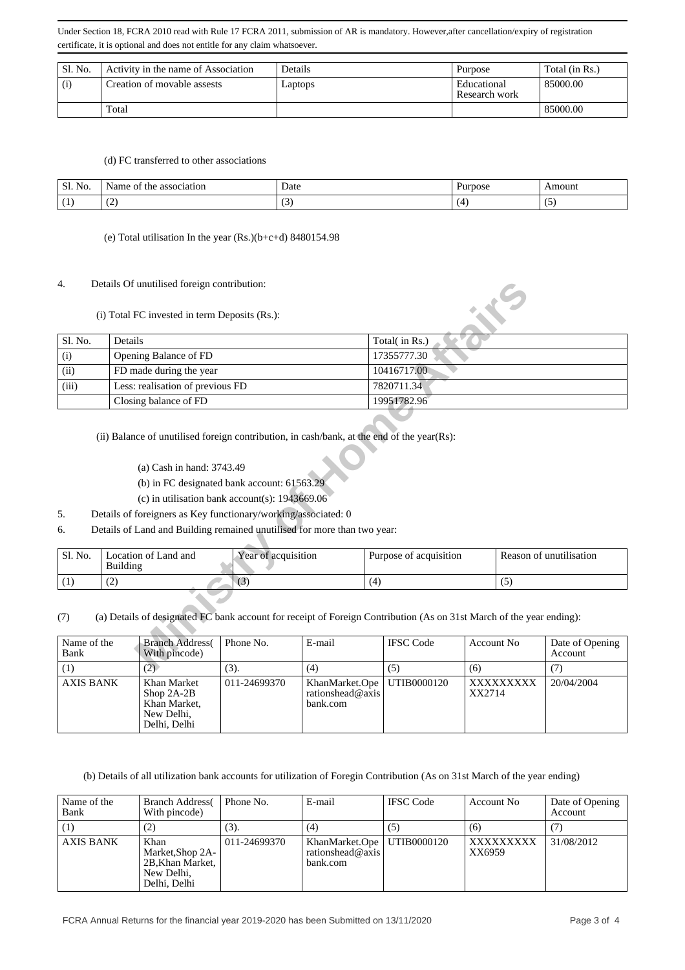| Sl. No. | Activity in the name of Association | Details | Purpose                      | Total (in Rs.) |
|---------|-------------------------------------|---------|------------------------------|----------------|
| (i)     | Creation of movable assests         | Laptops | Educational<br>Research work | 85000.00       |
|         | Total                               |         |                              | 85000.00       |

#### (d) FC transferred to other associations

| SL N<br>$\mathbf{r}$<br>N <sub>O</sub> | association<br>Name<br>200<br>the<br>ОI | Date                  | Purpose | Amount  |
|----------------------------------------|-----------------------------------------|-----------------------|---------|---------|
| (1)<br>L)                              | $\sqrt{2}$<br>$\sim$                    | $\tilde{\phantom{a}}$ | $\sim$  | $\cdot$ |

(e) Total utilisation In the year (Rs.)(b+c+d) 8480154.98

#### 4. Details Of unutilised foreign contribution:

| 4.                         |                                  | Details Of unutilised foreign contribution:<br>(i) Total FC invested in term Deposits (Rs.): |                                                                                                                                                                                                                                                                                                                                             |             |                        |                   |     |                            |
|----------------------------|----------------------------------|----------------------------------------------------------------------------------------------|---------------------------------------------------------------------------------------------------------------------------------------------------------------------------------------------------------------------------------------------------------------------------------------------------------------------------------------------|-------------|------------------------|-------------------|-----|----------------------------|
| Sl. No.                    | Details                          |                                                                                              |                                                                                                                                                                                                                                                                                                                                             |             | Total(in Rs.)          |                   |     |                            |
| (i)                        |                                  | Opening Balance of FD                                                                        |                                                                                                                                                                                                                                                                                                                                             |             | 17355777.30            |                   |     |                            |
| (ii)                       | FD made during the year          |                                                                                              |                                                                                                                                                                                                                                                                                                                                             | 10416717.00 |                        |                   |     |                            |
| (iii)                      | Less: realisation of previous FD |                                                                                              |                                                                                                                                                                                                                                                                                                                                             | 7820711.34  |                        |                   |     |                            |
|                            |                                  | Closing balance of FD                                                                        |                                                                                                                                                                                                                                                                                                                                             |             | 19951782.96            |                   |     |                            |
| 5.<br>6.                   |                                  | (a) Cash in hand: 3743.49                                                                    | (ii) Balance of unutilised foreign contribution, in cash/bank, at the end of the year(Rs):<br>(b) in FC designated bank account: 61563.29<br>(c) in utilisation bank account(s): $1943669.06$<br>Details of foreigners as Key functionary/working/associated: 0<br>Details of Land and Building remained unutilised for more than two year: |             |                        |                   |     |                            |
| Sl. No.                    | <b>Building</b>                  | Location of Land and                                                                         | Year of acquisition                                                                                                                                                                                                                                                                                                                         |             | Purpose of acquisition |                   |     | Reason of unutilisation    |
| (1)                        | (2)                              |                                                                                              | (3)                                                                                                                                                                                                                                                                                                                                         |             | (4)                    |                   | (5) |                            |
| (7)<br>Name of the<br>Bank |                                  | <b>Branch Address</b> (<br>With pincode)                                                     | (a) Details of designated FC bank account for receipt of Foreign Contribution (As on 31st March of the year ending):<br>Phone No.                                                                                                                                                                                                           | E-mail      | <b>IFSC</b> Code       | <b>Account No</b> |     | Date of Opening<br>Account |
| (1)                        |                                  | (2)                                                                                          | (3)                                                                                                                                                                                                                                                                                                                                         | (4)         | (5)                    | (6)               |     | (7)                        |

- (a) Cash in hand: 3743.49
- (b) in FC designated bank account: 61563.29
- (c) in utilisation bank account(s): 1943669.06
- 5. Details of foreigners as Key functionary/working/associated: 0
- 6. Details of Land and Building remained unutilised for more than two year:

| Sl. No. | Location of Land and<br>Building | Year of acquisition | Purpose of acquisition | Reason of unutilisation |
|---------|----------------------------------|---------------------|------------------------|-------------------------|
|         | $\sqrt{2}$<br>ے                  | ιJ                  |                        | $\cdot$                 |

| Name of the<br>Bank | <b>Branch Address</b><br>With pincode)                                    | Phone No.    | E-mail                                                       | <b>IFSC</b> Code | Account No          | Date of Opening<br>Account |
|---------------------|---------------------------------------------------------------------------|--------------|--------------------------------------------------------------|------------------|---------------------|----------------------------|
|                     | $\mathbf{2}$                                                              | (3).         | (4)                                                          | (5)              | (6)                 |                            |
| <b>AXIS BANK</b>    | Khan Market<br>Shop $2A-2B$<br>Khan Market,<br>New Delhi,<br>Delhi, Delhi | 011-24699370 | KhanMarket.Ope   UTIB0000120<br>rationshead@axis<br>bank.com |                  | XXXXXXXXX<br>XX2714 | 20/04/2004                 |

(b) Details of all utilization bank accounts for utilization of Foregin Contribution (As on 31st March of the year ending)

| Name of the<br>Bank | <b>Branch Address</b><br>With pincode)                                     | Phone No.    | E-mail                                                       | <b>IFSC</b> Code | Account No          | Date of Opening<br>Account |
|---------------------|----------------------------------------------------------------------------|--------------|--------------------------------------------------------------|------------------|---------------------|----------------------------|
|                     | (2)                                                                        | (3).         | (4)                                                          | (5)              | (6)                 |                            |
| <b>AXIS BANK</b>    | Khan<br>Market, Shop 2A-<br>2B, Khan Market,<br>New Delhi,<br>Delhi, Delhi | 011-24699370 | KhanMarket.Ope   UTIB0000120<br>rationshead@axis<br>bank.com |                  | XXXXXXXXX<br>XX6959 | 31/08/2012                 |